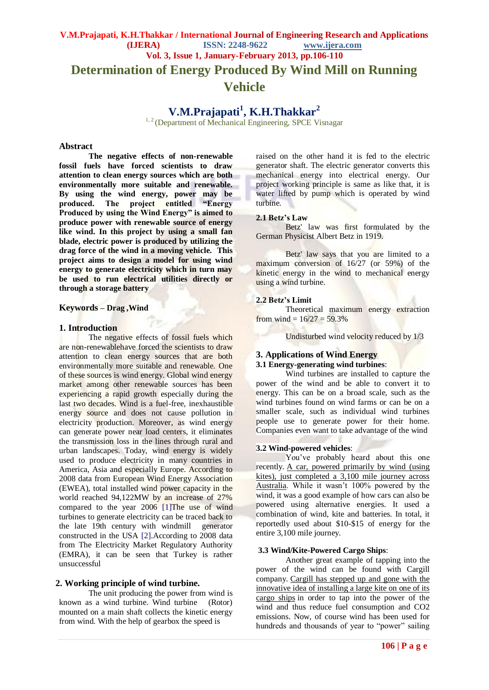**Determination of Energy Produced By Wind Mill on Running** 

## **Vehicle**

# **V.M.Prajapati<sup>1</sup> , K.H.Thakkar<sup>2</sup>**

<sup>1, 2</sup> (Department of Mechanical Engineering, SPCE Visnagar

#### **Abstract**

**The negative effects of non-renewable fossil fuels have forced scientists to draw attention to clean energy sources which are both environmentally more suitable and renewable. By using the wind energy, power may be produced. The project entitled "Energy Produced by using the Wind Energy" is aimed to produce power with renewable source of energy like wind. In this project by using a small fan blade, electric power is produced by utilizing the drag force of the wind in a moving vehicle. This project aims to design a model for using wind energy to generate electricity which in turn may be used to run electrical utilities directly or through a storage battery**

#### **Keywords – Drag ,Wind**

## **1. Introduction**

The negative effects of fossil fuels which are non-renewablehave forced the scientists to draw attention to clean energy sources that are both environmentally more suitable and renewable. One of these sources is wind energy. Global wind energy market among other renewable sources has been experiencing a rapid growth especially during the last two decades. Wind is a fuel-free, inexhaustible energy source and does not cause pollution in electricity production. Moreover, as wind energy can generate power near load centers, it eliminates the transmission loss in the lines through rural and urban landscapes. Today, wind energy is widely used to produce electricity in many countries in America, Asia and especially Europe. According to 2008 data from European Wind Energy Association (EWEA), total installed wind power capacity in the world reached 94,122MW by an increase of 27% compared to the year 2006 [1]The use of wind turbines to generate electricity can be traced back to the late 19th century with windmill generator constructed in the USA [2].According to 2008 data from The Electricity Market Regulatory Authority (EMRA), it can be seen that Turkey is rather unsuccessful

## **2. Working principle of wind turbine.**

The unit producing the power from wind is known as a wind turbine. Wind turbine (Rotor) mounted on a main shaft collects the kinetic energy from wind. With the help of gearbox the speed is

raised on the other hand it is fed to the electric generator shaft. The electric generator converts this mechanical energy into electrical energy. Our project working principle is same as like that, it is water lifted by pump which is operated by wind turbine.

## **2.1 Betz's Law**

Betz' law was first formulated by the German Physicist Albert Betz in 1919.

Betz' law says that you are limited to a maximum conversion of 16/27 (or 59%) of the kinetic energy in the wind to mechanical energy using a wind turbine.

#### **2.2 Betz's Limit**

Theoretical maximum energy extraction from wind =  $16/27 = 59.3\%$ 

Undisturbed wind velocity reduced by 1/3

## **3. Applications of Wind Energy**

## **3.1 Energy-generating wind turbines**:

Wind turbines are installed to capture the power of the wind and be able to convert it to energy. This can be on a broad scale, such as the wind turbines found on wind farms or can be on a smaller scale, such as individual wind turbines people use to generate power for their home. Companies even want to take advantage of the wind

#### **3.2 Wind-powered vehicles**:

You"ve probably heard about this one recently. [A car, powered primarily by wind \(using](http://www.physorg.com/news/2011-02-wind-powered-car-mile-australia.html)  [kites\), just completed a 3,100 mile journey across](http://www.physorg.com/news/2011-02-wind-powered-car-mile-australia.html)  [Australia.](http://www.physorg.com/news/2011-02-wind-powered-car-mile-australia.html) While it wasn"t 100% powered by the wind, it was a good example of how cars can also be powered using alternative energies. It used a combination of wind, kite and batteries. In total, it reportedly used about \$10-\$15 of energy for the entire 3,100 mile journey.

#### **3.3 Wind/Kite-Powered Cargo Ships**:

Another great example of tapping into the power of the wind can be found with Cargill company. [Cargill has stepped up and gone with the](http://www.greenbiz.com/news/2011/02/28/cargill-cuts-co2-emissions-worlds-largest-kite-powered-ship)  [innovative idea of installing a large kite on one of its](http://www.greenbiz.com/news/2011/02/28/cargill-cuts-co2-emissions-worlds-largest-kite-powered-ship)  [cargo ships](http://www.greenbiz.com/news/2011/02/28/cargill-cuts-co2-emissions-worlds-largest-kite-powered-ship) in order to tap into the power of the wind and thus reduce fuel consumption and CO2 emissions. Now, of course wind has been used for hundreds and thousands of year to "power" sailing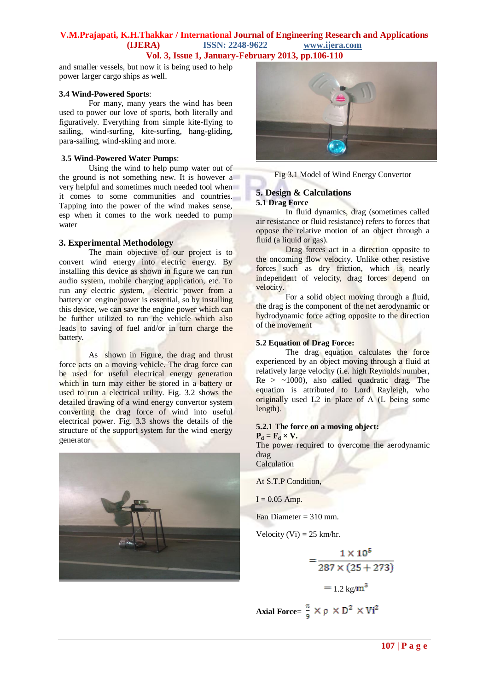and smaller vessels, but now it is being used to help power larger cargo ships as well.

#### **3.4 Wind-Powered Sports**:

For many, many years the wind has been used to power our love of sports, both literally and figuratively. Everything from simple kite-flying to sailing, wind-surfing, kite-surfing, hang-gliding, para-sailing, wind-skiing and more.

#### **3.5 Wind-Powered Water Pumps**:

Using the wind to help pump water out of the ground is not something new. It is however a very helpful and sometimes much needed tool when it comes to some communities and countries. Tapping into the power of the wind makes sense, esp when it comes to the work needed to pump water

### **3. Experimental Methodology**

The main objective of our project is to convert wind energy into electric energy. By installing this device as shown in figure we can run audio system, mobile charging application, etc. To run any electric system, electric power from a battery or engine power is essential, so by installing this device, we can save the engine power which can be further utilized to run the vehicle which also leads to saving of fuel and/or in turn charge the battery.

As shown in Figure, the drag and thrust force acts on a moving vehicle. The drag force can be used for useful electrical energy generation which in turn may either be stored in a battery or used to run a electrical utility. Fig. 3.2 shows the detailed drawing of a wind energy convertor system converting the drag force of wind into useful electrical power. Fig. 3.3 shows the details of the structure of the support system for the wind energy generator





Fig 3.1 Model of Wind Energy Convertor

#### **5. Design & Calculations 5.1 Drag Force**

In fluid dynamics, drag (sometimes called air resistance or fluid resistance) refers to forces that oppose the relative motion of an object through a fluid (a liquid or gas).

Drag forces act in a direction opposite to the oncoming flow velocity. Unlike other resistive forces such as dry friction, which is nearly independent of velocity, drag forces depend on velocity.

For a solid object moving through a fluid, the drag is the component of the net aerodynamic or hydrodynamic force acting opposite to the direction of the movement

#### **5.2 Equation of Drag Force:**

The drag equation calculates the force experienced by an object moving through a fluid at relatively large velocity (i.e. high Reynolds number,  $Re >$  ~1000), also called quadratic drag. The equation is attributed to Lord Rayleigh, who originally used L2 in place of A (L being some length).

#### **5.2.1 The force on a moving object:**  $P_d = F_d \times V$ .

The power required to overcome the aerodynamic drag

Calculation

At S.T.P Condition,

 $I = 0.05$  Amp.

Fan Diameter = 310 mm.

Velocity (Vi) =  $25 \text{ km/hr}$ .

$$
= \frac{1 \times 10^5}{287 \times (25 + 273)}
$$

$$
= 1.2 \text{ kg/m}^3
$$

**Axial Force**= 
$$
\frac{\pi}{9} \times \rho \times D^2 \times Vi^2
$$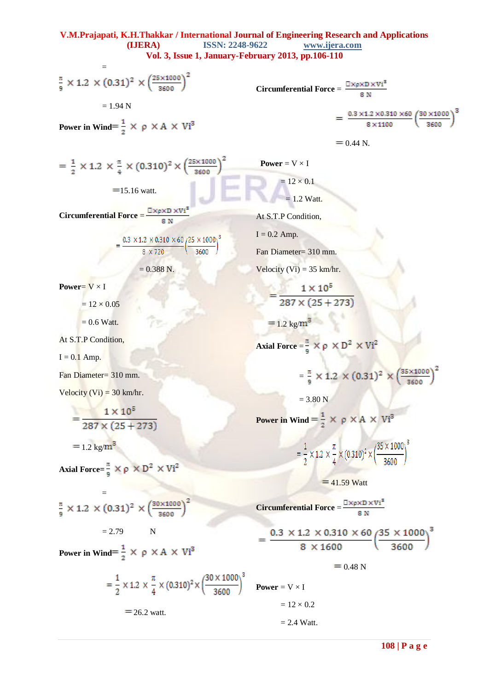$$
=
$$
  

$$
\frac{\pi}{9} \times 1.2 \times (0.31)^2 \times \left(\frac{25 \times 1000}{3600}\right)^2
$$
  

$$
= 1.94 \text{ N}
$$

**Power in Wind**= $\frac{1}{2}$   $\times$   $\rho$   $\times$  A  $\times$  Vi<sup>3</sup>

Circumferential Force = 
$$
\frac{\Box \times p \times D \times Vi^3}{8 N}
$$

$$
= \frac{0.3 \times 1.2 \times 0.310 \times 60}{8 \times 1100} \left(\frac{30 \times 1000}{3600}\right)^3
$$

$$
= 0.44 \text{ N}.
$$

$$
= \frac{1}{2} \times 1.2 \times \frac{\pi}{4} \times (0.310)^2 \times \left(\frac{25 \times 1000}{3600}\right)^2
$$
  
= 15.16 watt.

**Circumferential Force** =  $\frac{\Box \times p \times D \times Vi^3}{p N}$  $8N$ 

$$
= \frac{0.3 \times 1.2 \times 0.310 \times 60}{8 \times 720} \left(\frac{25 \times 1000}{3600}\right)^3
$$

$$
= 0.388 \text{ N}.
$$

**Power**=  $V \times I$ 

 $= 12 \times 0.05$ 

 $= 0.6$  Watt.

At S.T.P Condition,

 $I = 0.1$  Amp.

Fan Diameter= 310 mm.

Velocity (Vi) =  $30 \text{ km/hr}$ .

$$
= \frac{1 \times 10^5}{287 \times (25 + 273)}
$$
  
= 1.2 kg/m<sup>3</sup>

$$
Axial Force = \frac{\pi}{9} \times \rho \times D^2 \times Vi^2
$$

$$
\frac{\pi}{9} \times 1.2 \times (0.31)^2 \times \left(\frac{30 \times 1000}{3600}\right)^2
$$

 $= 2.79$  N

**Power in Wind**= $\frac{1}{2}$   $\times$   $\rho$   $\times$  A  $\times$  Vi<sup>3</sup>

$$
= \frac{1}{2} \times 1.2 \times \frac{\pi}{4} \times (0.310)^2 \times \left(\frac{30 \times 1000}{3600}\right)^3
$$
 Power = V × I  
= 26.2 watt.

 $= 1.2$  Watt.

**Power** =  $V \times I$ 

At S.T.P Condition,

 $I = 0.2$  Amp.

Fan Diameter= 310 mm.

 $= 12 \times 0.1$ 

Velocity (Vi) =  $35 \text{ km/hr}$ .

 $=\frac{1 \times 10^5}{287 \times (25 + 273)}$ 

 $= 1.2 \text{ kg/m}^3$ 

**Axial Force** =  $\frac{\pi}{9} \times \rho \times D^2 \times Vi^2$ 

 $= 3.80 N$ 

$$
= \frac{\pi}{9} \times 1.2 \times (0.31)^2 \times \left(\frac{35 \times 1000}{3600}\right)^2
$$

**Power in Wind** =  $\frac{1}{2}$   $\times$   $\rho$   $\times$  A  $\times$  Vi<sup>3</sup>

$$
= \frac{1}{2} \times 1.2 \times \frac{\pi}{4} \times (0.310)^2 \times \left(\frac{35 \times 1000}{3600}\right)^3
$$

 $=$  41.59 Watt

**Circumferential Force** =  $\frac{\Box \times \rho \times D \times Vi^3}{8 N}$ 

 $= 12 \times 0.2$ 

 $= 2.4$  Watt.

$$
= \frac{0.3 \times 1.2 \times 0.310 \times 60}{8 \times 1600} \left(\frac{35 \times 1000}{3600}\right)^3
$$

$$
= 0.48 N
$$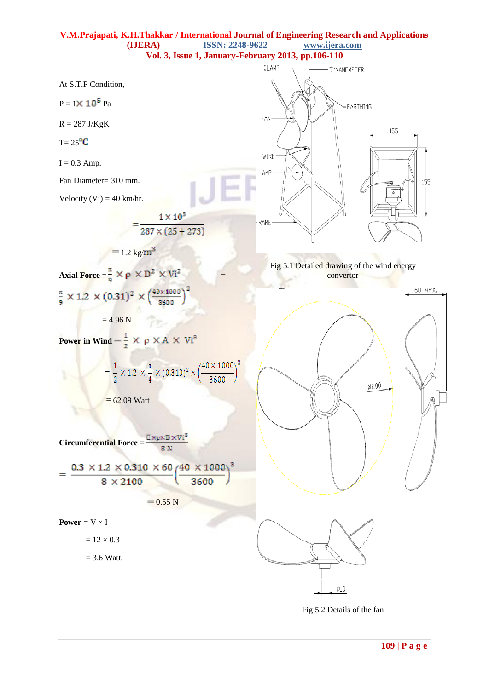

Fig 5.2 Details of the fan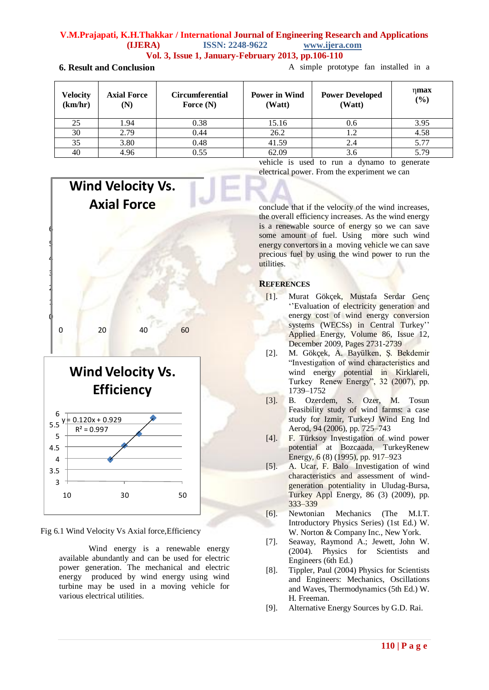## **V.M.Prajapati, K.H.Thakkar / International Journal of Engineering Research and Applications (IJERA) ISSN: 2248-9622 www.ijera.com**

**Vol. 3, Issue 1, January-February 2013, pp.106-110**

## **6. Result and Conclusion**

A simple prototype fan installed in a

| <b>Velocity</b><br>(km/hr) | <b>Axial Force</b><br>(N) | <b>Circumferential</b><br>Force $(N)$ | <b>Power in Wind</b><br>(Watt) | <b>Power Developed</b><br>(Watt) | $\eta$ max<br>(%) |
|----------------------------|---------------------------|---------------------------------------|--------------------------------|----------------------------------|-------------------|
| 25                         | L.94                      | 0.38                                  | 15.16                          | 0.6                              | 3.95              |
| 30                         | 2.79                      | 0.44                                  | 26.2                           | 1.2                              | 4.58              |
| 35                         | 3.80                      | 0.48                                  | 41.59                          | 2.4                              | 5.77              |
| 40                         | 4.96                      | 0.55                                  | 62.09                          | 3.6                              | 5.79              |

0 1 2 3 4 5 6 0 20 40 60 **Wind Velocity Vs. Axial Force**



Fig 6.1 Wind Velocity Vs Axial force,Efficiency

Wind energy is a renewable energy available abundantly and can be used for electric power generation. The mechanical and electric energy produced by wind energy using wind turbine may be used in a moving vehicle for various electrical utilities.

vehicle is used to run a dynamo to generate electrical power. From the experiment we can

conclude that if the velocity of the wind increases, the overall efficiency increases. As the wind energy is a renewable source of energy so we can save some amount of fuel. Using more such wind energy convertors in a moving vehicle we can save precious fuel by using the wind power to run the utilities.

## **REFERENCES**

- [1]. Murat Gökçek, Mustafa Serdar Genç ["Evaluation of electricity generation and](http://www.sciencedirect.com/science/article/pii/S0306261909001433) energy cost of [wind energy conversion](http://www.sciencedirect.com/science/article/pii/S0306261909001433) [systems \(WECSs\) in Central Turkey"](http://www.sciencedirect.com/science/article/pii/S0306261909001433) Applied Energy, Volume 86, Issue 12, December 2009, Pages 2731-2739
- [2]. M. Gökçek, A. Bayülken, Ş. Bekdemir "Investigation of wind characteristics and wind energy potential in Kirklareli, Turkey Renew Energy", 32 (2007), pp. 1739–1752
- [3]. B. Ozerdem, S. Ozer, M. Tosun Feasibility study of wind farms: a case study for Izmir, TurkeyJ Wind Eng Ind Aerod, 94 (2006), pp. 725–743
- [4]. F. Türksoy Investigation of wind power potential at Bozcaada, TurkeyRenew Energy, 6 (8) (1995), pp. 917–923
- [5]. A. Ucar, F. Balo Investigation of wind characteristics and assessment of windgeneration potentiality in Uludag-Bursa, Turkey Appl Energy, 86 (3) (2009), pp. 333–339
- [6]. Newtonian Mechanics (The M.I.T. Introductory Physics Series) (1st Ed.) W. W. Norton & Company Inc., New York.
- [7]. Seaway, Raymond A.; Jewett, John W. (2004). Physics for Scientists and Engineers (6th Ed.)
- [8]. Tippler, Paul (2004) Physics for Scientists and Engineers: Mechanics, Oscillations and Waves, Thermodynamics (5th Ed.) W. H. Freeman.
- [9]. Alternative Energy Sources by G.D. Rai.